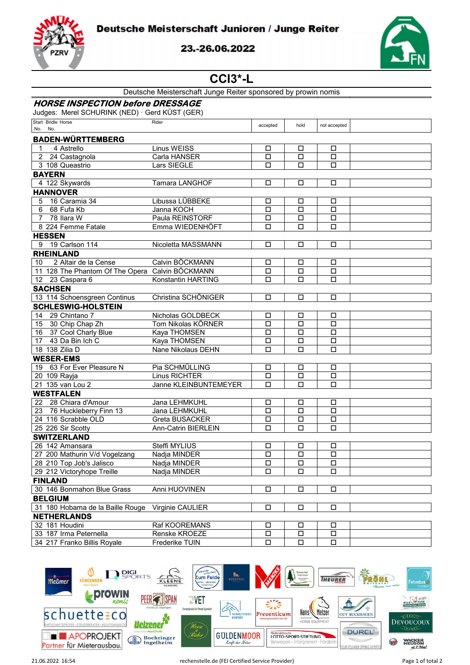



## 23.-26.06.2022



## **CCI3\*-L**

| <b>HORSE INSPECTION before DRESSAGE</b><br>Judges: Merel SCHURINK (NED) · Gerd KÜST (GER)<br>Start Bridle Horse<br>Rider<br>accepted<br>hold<br>not accepted<br>No. No.<br><b>BADEN-WÜRTTEMBERG</b><br><b>Linus WEISS</b><br>$\mathbf{1}$<br>4 Astrello<br>□<br>□<br>□<br>Carla HANSER<br>$\overline{2}$<br>24 Castagnola<br>$\Box$<br>$\Box$<br>$\Box$<br>3 108 Queastrio<br>Lars SIEGLE<br>□<br>□<br>□<br><b>BAYERN</b><br>4 122 Skywards<br>Tamara LANGHOF<br>□<br>□<br>□<br><b>HANNOVER</b><br>Libussa LÜBBEKE<br>16 Caramia 34<br>5<br>□<br>□<br>□<br>Janna KOCH<br>6<br>68 Fufa Kb<br>$\Box$<br>□<br>□<br>$\overline{7}$<br>78 Ilara W<br>Paula REINSTORF<br>$\Box$<br>□<br>□<br>8 224 Femme Fatale<br>Emma WIEDENHÖFT<br>□<br>□<br>□<br><b>HESSEN</b><br>19 Carlson 114<br>Nicoletta MASSMANN<br>$\Box$<br>$\Box$<br>$\Box$<br>9<br><b>RHEINLAND</b><br>2 Altair de la Cense<br>Calvin BÖCKMANN<br>10<br>$\Box$<br>П<br>□<br>11 128 The Phantom Of The Opera Calvin BÖCKMANN<br>$\Box$<br>□<br>□<br>12 23 Caspara 6<br>Konstantin HARTING<br>□<br>□<br>□<br><b>SACHSEN</b><br>Christina SCHÖNIGER<br>13 114 Schoensgreen Continus<br>$\Box$<br>$\Box$<br>П<br><b>SCHLESWIG-HOLSTEIN</b><br>29 Chintano 7<br>Nicholas GOLDBECK<br>14<br>□<br>□<br>$\Box$<br>15<br>30 Chip Chap Zh<br>Tom Nikolas KÖRNER<br>$\Box$<br>□<br>□<br>16 37 Cool Charly Blue<br>Kaya THOMSEN<br>$\Box$<br>□<br>П<br>43 Da Bin Ich C<br>Kaya THOMSEN<br>17<br>□<br>□<br>$\Box$<br>Nane Nikolaus DEHN<br>18 138 Zilia D<br>□<br>□<br>□<br><b>WESER-EMS</b> |
|-----------------------------------------------------------------------------------------------------------------------------------------------------------------------------------------------------------------------------------------------------------------------------------------------------------------------------------------------------------------------------------------------------------------------------------------------------------------------------------------------------------------------------------------------------------------------------------------------------------------------------------------------------------------------------------------------------------------------------------------------------------------------------------------------------------------------------------------------------------------------------------------------------------------------------------------------------------------------------------------------------------------------------------------------------------------------------------------------------------------------------------------------------------------------------------------------------------------------------------------------------------------------------------------------------------------------------------------------------------------------------------------------------------------------------------------------------------------------------------------------------------------------------------------|
|                                                                                                                                                                                                                                                                                                                                                                                                                                                                                                                                                                                                                                                                                                                                                                                                                                                                                                                                                                                                                                                                                                                                                                                                                                                                                                                                                                                                                                                                                                                                         |
|                                                                                                                                                                                                                                                                                                                                                                                                                                                                                                                                                                                                                                                                                                                                                                                                                                                                                                                                                                                                                                                                                                                                                                                                                                                                                                                                                                                                                                                                                                                                         |
|                                                                                                                                                                                                                                                                                                                                                                                                                                                                                                                                                                                                                                                                                                                                                                                                                                                                                                                                                                                                                                                                                                                                                                                                                                                                                                                                                                                                                                                                                                                                         |
|                                                                                                                                                                                                                                                                                                                                                                                                                                                                                                                                                                                                                                                                                                                                                                                                                                                                                                                                                                                                                                                                                                                                                                                                                                                                                                                                                                                                                                                                                                                                         |
|                                                                                                                                                                                                                                                                                                                                                                                                                                                                                                                                                                                                                                                                                                                                                                                                                                                                                                                                                                                                                                                                                                                                                                                                                                                                                                                                                                                                                                                                                                                                         |
|                                                                                                                                                                                                                                                                                                                                                                                                                                                                                                                                                                                                                                                                                                                                                                                                                                                                                                                                                                                                                                                                                                                                                                                                                                                                                                                                                                                                                                                                                                                                         |
|                                                                                                                                                                                                                                                                                                                                                                                                                                                                                                                                                                                                                                                                                                                                                                                                                                                                                                                                                                                                                                                                                                                                                                                                                                                                                                                                                                                                                                                                                                                                         |
|                                                                                                                                                                                                                                                                                                                                                                                                                                                                                                                                                                                                                                                                                                                                                                                                                                                                                                                                                                                                                                                                                                                                                                                                                                                                                                                                                                                                                                                                                                                                         |
|                                                                                                                                                                                                                                                                                                                                                                                                                                                                                                                                                                                                                                                                                                                                                                                                                                                                                                                                                                                                                                                                                                                                                                                                                                                                                                                                                                                                                                                                                                                                         |
|                                                                                                                                                                                                                                                                                                                                                                                                                                                                                                                                                                                                                                                                                                                                                                                                                                                                                                                                                                                                                                                                                                                                                                                                                                                                                                                                                                                                                                                                                                                                         |
|                                                                                                                                                                                                                                                                                                                                                                                                                                                                                                                                                                                                                                                                                                                                                                                                                                                                                                                                                                                                                                                                                                                                                                                                                                                                                                                                                                                                                                                                                                                                         |
|                                                                                                                                                                                                                                                                                                                                                                                                                                                                                                                                                                                                                                                                                                                                                                                                                                                                                                                                                                                                                                                                                                                                                                                                                                                                                                                                                                                                                                                                                                                                         |
|                                                                                                                                                                                                                                                                                                                                                                                                                                                                                                                                                                                                                                                                                                                                                                                                                                                                                                                                                                                                                                                                                                                                                                                                                                                                                                                                                                                                                                                                                                                                         |
|                                                                                                                                                                                                                                                                                                                                                                                                                                                                                                                                                                                                                                                                                                                                                                                                                                                                                                                                                                                                                                                                                                                                                                                                                                                                                                                                                                                                                                                                                                                                         |
|                                                                                                                                                                                                                                                                                                                                                                                                                                                                                                                                                                                                                                                                                                                                                                                                                                                                                                                                                                                                                                                                                                                                                                                                                                                                                                                                                                                                                                                                                                                                         |
|                                                                                                                                                                                                                                                                                                                                                                                                                                                                                                                                                                                                                                                                                                                                                                                                                                                                                                                                                                                                                                                                                                                                                                                                                                                                                                                                                                                                                                                                                                                                         |
|                                                                                                                                                                                                                                                                                                                                                                                                                                                                                                                                                                                                                                                                                                                                                                                                                                                                                                                                                                                                                                                                                                                                                                                                                                                                                                                                                                                                                                                                                                                                         |
|                                                                                                                                                                                                                                                                                                                                                                                                                                                                                                                                                                                                                                                                                                                                                                                                                                                                                                                                                                                                                                                                                                                                                                                                                                                                                                                                                                                                                                                                                                                                         |
|                                                                                                                                                                                                                                                                                                                                                                                                                                                                                                                                                                                                                                                                                                                                                                                                                                                                                                                                                                                                                                                                                                                                                                                                                                                                                                                                                                                                                                                                                                                                         |
|                                                                                                                                                                                                                                                                                                                                                                                                                                                                                                                                                                                                                                                                                                                                                                                                                                                                                                                                                                                                                                                                                                                                                                                                                                                                                                                                                                                                                                                                                                                                         |
|                                                                                                                                                                                                                                                                                                                                                                                                                                                                                                                                                                                                                                                                                                                                                                                                                                                                                                                                                                                                                                                                                                                                                                                                                                                                                                                                                                                                                                                                                                                                         |
|                                                                                                                                                                                                                                                                                                                                                                                                                                                                                                                                                                                                                                                                                                                                                                                                                                                                                                                                                                                                                                                                                                                                                                                                                                                                                                                                                                                                                                                                                                                                         |
|                                                                                                                                                                                                                                                                                                                                                                                                                                                                                                                                                                                                                                                                                                                                                                                                                                                                                                                                                                                                                                                                                                                                                                                                                                                                                                                                                                                                                                                                                                                                         |
|                                                                                                                                                                                                                                                                                                                                                                                                                                                                                                                                                                                                                                                                                                                                                                                                                                                                                                                                                                                                                                                                                                                                                                                                                                                                                                                                                                                                                                                                                                                                         |
|                                                                                                                                                                                                                                                                                                                                                                                                                                                                                                                                                                                                                                                                                                                                                                                                                                                                                                                                                                                                                                                                                                                                                                                                                                                                                                                                                                                                                                                                                                                                         |
|                                                                                                                                                                                                                                                                                                                                                                                                                                                                                                                                                                                                                                                                                                                                                                                                                                                                                                                                                                                                                                                                                                                                                                                                                                                                                                                                                                                                                                                                                                                                         |
|                                                                                                                                                                                                                                                                                                                                                                                                                                                                                                                                                                                                                                                                                                                                                                                                                                                                                                                                                                                                                                                                                                                                                                                                                                                                                                                                                                                                                                                                                                                                         |
|                                                                                                                                                                                                                                                                                                                                                                                                                                                                                                                                                                                                                                                                                                                                                                                                                                                                                                                                                                                                                                                                                                                                                                                                                                                                                                                                                                                                                                                                                                                                         |
|                                                                                                                                                                                                                                                                                                                                                                                                                                                                                                                                                                                                                                                                                                                                                                                                                                                                                                                                                                                                                                                                                                                                                                                                                                                                                                                                                                                                                                                                                                                                         |
|                                                                                                                                                                                                                                                                                                                                                                                                                                                                                                                                                                                                                                                                                                                                                                                                                                                                                                                                                                                                                                                                                                                                                                                                                                                                                                                                                                                                                                                                                                                                         |
| Pia SCHMÜLLING<br>19 63 For Ever Pleasure N<br>□<br>□<br>$\Box$                                                                                                                                                                                                                                                                                                                                                                                                                                                                                                                                                                                                                                                                                                                                                                                                                                                                                                                                                                                                                                                                                                                                                                                                                                                                                                                                                                                                                                                                         |
| Linus RICHTER<br>$\Box$<br>20 109 Rayja<br>□<br>□                                                                                                                                                                                                                                                                                                                                                                                                                                                                                                                                                                                                                                                                                                                                                                                                                                                                                                                                                                                                                                                                                                                                                                                                                                                                                                                                                                                                                                                                                       |
| 21 135 van Lou 2<br>Janne KLEINBUNTEMEYER<br>$\Box$<br>□<br>□                                                                                                                                                                                                                                                                                                                                                                                                                                                                                                                                                                                                                                                                                                                                                                                                                                                                                                                                                                                                                                                                                                                                                                                                                                                                                                                                                                                                                                                                           |
| <b>WESTFALEN</b>                                                                                                                                                                                                                                                                                                                                                                                                                                                                                                                                                                                                                                                                                                                                                                                                                                                                                                                                                                                                                                                                                                                                                                                                                                                                                                                                                                                                                                                                                                                        |
| 28 Chiara d'Amour<br>Jana LEHMKUHL<br>22<br>□<br>□<br>□                                                                                                                                                                                                                                                                                                                                                                                                                                                                                                                                                                                                                                                                                                                                                                                                                                                                                                                                                                                                                                                                                                                                                                                                                                                                                                                                                                                                                                                                                 |
| 23 76 Huckleberry Finn 13<br>Jana LEHMKUHL<br>□<br>□<br>□                                                                                                                                                                                                                                                                                                                                                                                                                                                                                                                                                                                                                                                                                                                                                                                                                                                                                                                                                                                                                                                                                                                                                                                                                                                                                                                                                                                                                                                                               |
| 24 116 Scrabble OLD<br>Greta BUSACKER<br>$\Box$<br>$\Box$<br>$\Box$                                                                                                                                                                                                                                                                                                                                                                                                                                                                                                                                                                                                                                                                                                                                                                                                                                                                                                                                                                                                                                                                                                                                                                                                                                                                                                                                                                                                                                                                     |
| 25 226 Sir Scotty<br>□<br>□<br><b>Ann-Catrin BIERLEIN</b><br>□                                                                                                                                                                                                                                                                                                                                                                                                                                                                                                                                                                                                                                                                                                                                                                                                                                                                                                                                                                                                                                                                                                                                                                                                                                                                                                                                                                                                                                                                          |
| <b>SWITZERLAND</b>                                                                                                                                                                                                                                                                                                                                                                                                                                                                                                                                                                                                                                                                                                                                                                                                                                                                                                                                                                                                                                                                                                                                                                                                                                                                                                                                                                                                                                                                                                                      |
| Steffi MYLIUS<br>26 142 Amansara<br>□<br>Ц<br>$\Box$                                                                                                                                                                                                                                                                                                                                                                                                                                                                                                                                                                                                                                                                                                                                                                                                                                                                                                                                                                                                                                                                                                                                                                                                                                                                                                                                                                                                                                                                                    |
| 27 200 Mathurin V/d Vogelzang<br>$\Box$<br>Nadja MINDER<br>$\Box$<br>$\Box$                                                                                                                                                                                                                                                                                                                                                                                                                                                                                                                                                                                                                                                                                                                                                                                                                                                                                                                                                                                                                                                                                                                                                                                                                                                                                                                                                                                                                                                             |
| 28 210 Top Job's Jalisco<br>Nadja MINDER<br>□<br>Ц<br>□                                                                                                                                                                                                                                                                                                                                                                                                                                                                                                                                                                                                                                                                                                                                                                                                                                                                                                                                                                                                                                                                                                                                                                                                                                                                                                                                                                                                                                                                                 |
| 29 212 Victoryhope Treille<br>Nadja MINDER<br>$\Box$<br>$\Box$<br>$\Box$                                                                                                                                                                                                                                                                                                                                                                                                                                                                                                                                                                                                                                                                                                                                                                                                                                                                                                                                                                                                                                                                                                                                                                                                                                                                                                                                                                                                                                                                |
| <b>FINLAND</b>                                                                                                                                                                                                                                                                                                                                                                                                                                                                                                                                                                                                                                                                                                                                                                                                                                                                                                                                                                                                                                                                                                                                                                                                                                                                                                                                                                                                                                                                                                                          |
| 30 146 Bonmahon Blue Grass<br>Anni HUOVINEN<br>$\Box$<br>П<br>□                                                                                                                                                                                                                                                                                                                                                                                                                                                                                                                                                                                                                                                                                                                                                                                                                                                                                                                                                                                                                                                                                                                                                                                                                                                                                                                                                                                                                                                                         |
| <b>BELGIUM</b>                                                                                                                                                                                                                                                                                                                                                                                                                                                                                                                                                                                                                                                                                                                                                                                                                                                                                                                                                                                                                                                                                                                                                                                                                                                                                                                                                                                                                                                                                                                          |
| 31 180 Hobama de la Baille Rouge<br>Virginie CAULIER<br>$\Box$<br>□<br>$\Box$                                                                                                                                                                                                                                                                                                                                                                                                                                                                                                                                                                                                                                                                                                                                                                                                                                                                                                                                                                                                                                                                                                                                                                                                                                                                                                                                                                                                                                                           |
| <b>NETHERLANDS</b>                                                                                                                                                                                                                                                                                                                                                                                                                                                                                                                                                                                                                                                                                                                                                                                                                                                                                                                                                                                                                                                                                                                                                                                                                                                                                                                                                                                                                                                                                                                      |
| 32 181 Houdini<br>Raf KOOREMANS<br>□<br>□<br>□                                                                                                                                                                                                                                                                                                                                                                                                                                                                                                                                                                                                                                                                                                                                                                                                                                                                                                                                                                                                                                                                                                                                                                                                                                                                                                                                                                                                                                                                                          |
| 33 187 Irma Peternella<br>Renske KROEZE<br>$\Box$<br>Д<br>$\Box$                                                                                                                                                                                                                                                                                                                                                                                                                                                                                                                                                                                                                                                                                                                                                                                                                                                                                                                                                                                                                                                                                                                                                                                                                                                                                                                                                                                                                                                                        |
| 34 217 Franko Billis Royale<br>Frederike TUIN<br>$\Box$<br>$\Box$<br>$\Box$                                                                                                                                                                                                                                                                                                                                                                                                                                                                                                                                                                                                                                                                                                                                                                                                                                                                                                                                                                                                                                                                                                                                                                                                                                                                                                                                                                                                                                                             |